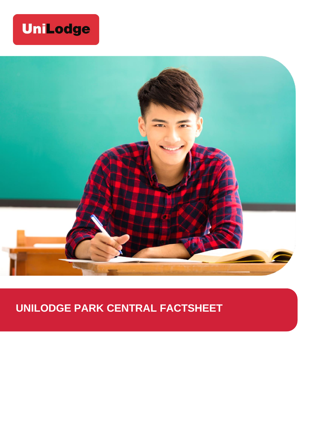## **UniLodge**



## **UNILODGE PARK CENTRAL FACTSHEET**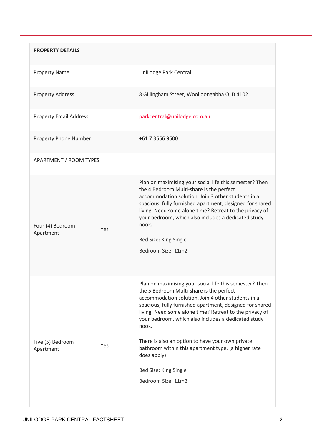| <b>PROPERTY DETAILS</b>              |                                                                                                                                                                                                                                                                                                                                                                                                                                                                                                                           |
|--------------------------------------|---------------------------------------------------------------------------------------------------------------------------------------------------------------------------------------------------------------------------------------------------------------------------------------------------------------------------------------------------------------------------------------------------------------------------------------------------------------------------------------------------------------------------|
| <b>Property Name</b>                 | UniLodge Park Central                                                                                                                                                                                                                                                                                                                                                                                                                                                                                                     |
| <b>Property Address</b>              | 8 Gillingham Street, Woolloongabba QLD 4102                                                                                                                                                                                                                                                                                                                                                                                                                                                                               |
| <b>Property Email Address</b>        | parkcentral@unilodge.com.au                                                                                                                                                                                                                                                                                                                                                                                                                                                                                               |
| Property Phone Number                | +61 7 3556 9500                                                                                                                                                                                                                                                                                                                                                                                                                                                                                                           |
| <b>APARTMENT / ROOM TYPES</b>        |                                                                                                                                                                                                                                                                                                                                                                                                                                                                                                                           |
| Four (4) Bedroom<br>Yes<br>Apartment | Plan on maximising your social life this semester? Then<br>the 4 Bedroom Multi-share is the perfect<br>accommodation solution. Join 3 other students in a<br>spacious, fully furnished apartment, designed for shared<br>living. Need some alone time? Retreat to the privacy of<br>your bedroom, which also includes a dedicated study<br>nook.<br>Bed Size: King Single<br>Bedroom Size: 11m2                                                                                                                           |
| Five (5) Bedroom<br>Yes<br>Apartment | Plan on maximising your social life this semester? Then<br>the 5 Bedroom Multi-share is the perfect<br>accommodation solution. Join 4 other students in a<br>spacious, fully furnished apartment, designed for shared<br>living. Need some alone time? Retreat to the privacy of<br>your bedroom, which also includes a dedicated study<br>nook.<br>There is also an option to have your own private<br>bathroom within this apartment type. (a higher rate<br>does apply)<br>Bed Size: King Single<br>Bedroom Size: 11m2 |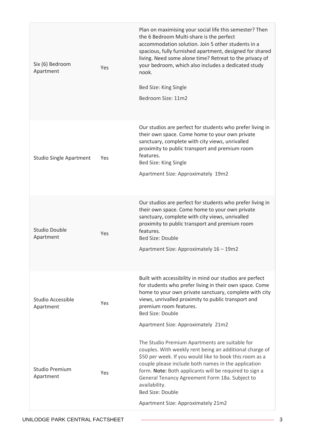| Six (6) Bedroom<br>Apartment       | Yes | Plan on maximising your social life this semester? Then<br>the 6 Bedroom Multi-share is the perfect<br>accommodation solution. Join 5 other students in a<br>spacious, fully furnished apartment, designed for shared<br>living. Need some alone time? Retreat to the privacy of<br>your bedroom, which also includes a dedicated study<br>nook.<br>Bed Size: King Single<br>Bedroom Size: 11m2                           |
|------------------------------------|-----|---------------------------------------------------------------------------------------------------------------------------------------------------------------------------------------------------------------------------------------------------------------------------------------------------------------------------------------------------------------------------------------------------------------------------|
| <b>Studio Single Apartment</b>     | Yes | Our studios are perfect for students who prefer living in<br>their own space. Come home to your own private<br>sanctuary, complete with city views, unrivalled<br>proximity to public transport and premium room<br>features.<br>Bed Size: King Single<br>Apartment Size: Approximately 19m2                                                                                                                              |
| Studio Double<br>Apartment         | Yes | Our studios are perfect for students who prefer living in<br>their own space. Come home to your own private<br>sanctuary, complete with city views, unrivalled<br>proximity to public transport and premium room<br>features.<br><b>Bed Size: Double</b><br>Apartment Size: Approximately 16 - 19m2                                                                                                                       |
| Studio Accessible<br>Apartment     | Yes | Built with accessibility in mind our studios are perfect<br>for students who prefer living in their own space. Come<br>home to your own private sanctuary, complete with city<br>views, unrivalled proximity to public transport and<br>premium room features.<br><b>Bed Size: Double</b><br>Apartment Size: Approximately 21m2                                                                                           |
| <b>Studio Premium</b><br>Apartment | Yes | The Studio Premium Apartments are suitable for<br>couples. With weekly rent being an additional charge of<br>\$50 per week. If you would like to book this room as a<br>couple please include both names in the application<br>form. Note: Both applicants will be required to sign a<br>General Tenancy Agreement Form 18a. Subject to<br>availability.<br><b>Bed Size: Double</b><br>Apartment Size: Approximately 21m2 |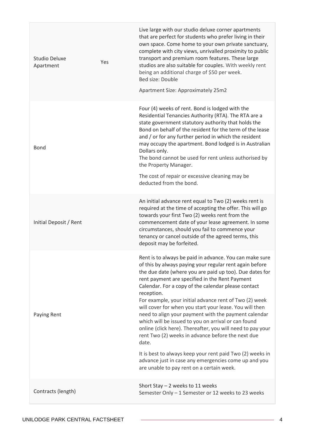| Studio Deluxe<br>Apartment | Yes | Live large with our studio deluxe corner apartments<br>that are perfect for students who prefer living in their<br>own space. Come home to your own private sanctuary,<br>complete with city views, unrivalled proximity to public<br>transport and premium room features. These large<br>studios are also suitable for couples. With weekly rent<br>being an additional charge of \$50 per week.<br>Bed size: Double<br>Apartment Size: Approximately 25m2                                                                                                                                                                                                                                                                                                                                                                            |
|----------------------------|-----|----------------------------------------------------------------------------------------------------------------------------------------------------------------------------------------------------------------------------------------------------------------------------------------------------------------------------------------------------------------------------------------------------------------------------------------------------------------------------------------------------------------------------------------------------------------------------------------------------------------------------------------------------------------------------------------------------------------------------------------------------------------------------------------------------------------------------------------|
| <b>Bond</b>                |     | Four (4) weeks of rent. Bond is lodged with the<br>Residential Tenancies Authority (RTA). The RTA are a<br>state government statutory authority that holds the<br>Bond on behalf of the resident for the term of the lease<br>and / or for any further period in which the resident<br>may occupy the apartment. Bond lodged is in Australian<br>Dollars only.<br>The bond cannot be used for rent unless authorised by<br>the Property Manager.<br>The cost of repair or excessive cleaning may be<br>deducted from the bond.                                                                                                                                                                                                                                                                                                         |
| Initial Deposit / Rent     |     | An initial advance rent equal to Two (2) weeks rent is<br>required at the time of accepting the offer. This will go<br>towards your first Two (2) weeks rent from the<br>commencement date of your lease agreement. In some<br>circumstances, should you fail to commence your<br>tenancy or cancel outside of the agreed terms, this<br>deposit may be forfeited.                                                                                                                                                                                                                                                                                                                                                                                                                                                                     |
| Paying Rent                |     | Rent is to always be paid in advance. You can make sure<br>of this by always paying your regular rent again before<br>the due date (where you are paid up too). Due dates for<br>rent payment are specified in the Rent Payment<br>Calendar. For a copy of the calendar please contact<br>reception.<br>For example, your initial advance rent of Two (2) week<br>will cover for when you start your lease. You will then<br>need to align your payment with the payment calendar<br>which will be issued to you on arrival or can found<br>online (click here). Thereafter, you will need to pay your<br>rent Two (2) weeks in advance before the next due<br>date.<br>It is best to always keep your rent paid Two (2) weeks in<br>advance just in case any emergencies come up and you<br>are unable to pay rent on a certain week. |
| Contracts (length)         |     | Short Stay $-2$ weeks to 11 weeks<br>Semester Only - 1 Semester or 12 weeks to 23 weeks                                                                                                                                                                                                                                                                                                                                                                                                                                                                                                                                                                                                                                                                                                                                                |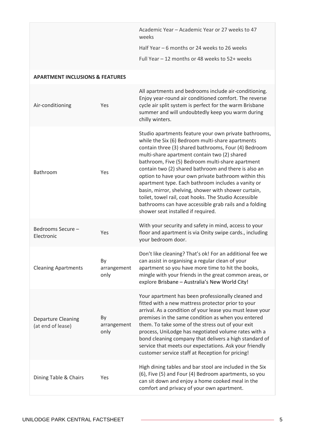|                                                |                           | Academic Year - Academic Year or 27 weeks to 47<br>weeks<br>Half Year - 6 months or 24 weeks to 26 weeks<br>Full Year - 12 months or 48 weeks to 52+ weeks                                                                                                                                                                                                                                                                                                                                                                                                                                                                                                   |
|------------------------------------------------|---------------------------|--------------------------------------------------------------------------------------------------------------------------------------------------------------------------------------------------------------------------------------------------------------------------------------------------------------------------------------------------------------------------------------------------------------------------------------------------------------------------------------------------------------------------------------------------------------------------------------------------------------------------------------------------------------|
| <b>APARTMENT INCLUSIONS &amp; FEATURES</b>     |                           |                                                                                                                                                                                                                                                                                                                                                                                                                                                                                                                                                                                                                                                              |
| Air-conditioning                               | Yes                       | All apartments and bedrooms include air-conditioning.<br>Enjoy year-round air conditioned comfort. The reverse<br>cycle air split system is perfect for the warm Brisbane<br>summer and will undoubtedly keep you warm during<br>chilly winters.                                                                                                                                                                                                                                                                                                                                                                                                             |
| Bathroom                                       | Yes                       | Studio apartments feature your own private bathrooms,<br>while the Six (6) Bedroom multi-share apartments<br>contain three (3) shared bathrooms, Four (4) Bedroom<br>multi-share apartment contain two (2) shared<br>bathroom, Five (5) Bedroom multi-share apartment<br>contain two (2) shared bathroom and there is also an<br>option to have your own private bathroom within this<br>apartment type. Each bathroom includes a vanity or<br>basin, mirror, shelving, shower with shower curtain,<br>toilet, towel rail, coat hooks. The Studio Accessible<br>bathrooms can have accessible grab rails and a folding<br>shower seat installed if required. |
| Bedrooms Secure -<br>Electronic                | Yes                       | With your security and safety in mind, access to your<br>floor and apartment is via Onity swipe cards., including<br>your bedroom door.                                                                                                                                                                                                                                                                                                                                                                                                                                                                                                                      |
| <b>Cleaning Apartments</b>                     | By<br>arrangement<br>only | Don't like cleaning? That's ok! For an additional fee we<br>can assist in organising a regular clean of your<br>apartment so you have more time to hit the books,<br>mingle with your friends in the great common areas, or<br>explore Brisbane - Australia's New World City!                                                                                                                                                                                                                                                                                                                                                                                |
| <b>Departure Cleaning</b><br>(at end of lease) | By<br>arrangement<br>only | Your apartment has been professionally cleaned and<br>fitted with a new mattress protector prior to your<br>arrival. As a condition of your lease you must leave your<br>premises in the same condition as when you entered<br>them. To take some of the stress out of your exit<br>process, UniLodge has negotiated volume rates with a<br>bond cleaning company that delivers a high standard of<br>service that meets our expectations. Ask your friendly<br>customer service staff at Reception for pricing!                                                                                                                                             |
| Dining Table & Chairs                          | Yes                       | High dining tables and bar stool are included in the Six<br>(6), Five (5) and Four (4) Bedroom apartments, so you<br>can sit down and enjoy a home cooked meal in the<br>comfort and privacy of your own apartment.                                                                                                                                                                                                                                                                                                                                                                                                                                          |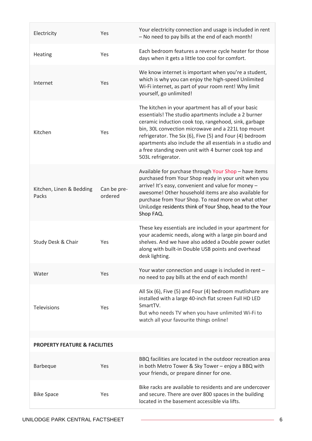| Electricity                              | Yes                    | Your electricity connection and usage is included in rent<br>- No need to pay bills at the end of each month!                                                                                                                                                                                                                                                                                                                     |
|------------------------------------------|------------------------|-----------------------------------------------------------------------------------------------------------------------------------------------------------------------------------------------------------------------------------------------------------------------------------------------------------------------------------------------------------------------------------------------------------------------------------|
| Heating                                  | Yes                    | Each bedroom features a reverse cycle heater for those<br>days when it gets a little too cool for comfort.                                                                                                                                                                                                                                                                                                                        |
| Internet                                 | Yes                    | We know internet is important when you're a student,<br>which is why you can enjoy the high-speed Unlimited<br>Wi-Fi internet, as part of your room rent! Why limit<br>yourself, go unlimited!                                                                                                                                                                                                                                    |
| Kitchen                                  | Yes                    | The kitchen in your apartment has all of your basic<br>essentials! The studio apartments include a 2 burner<br>ceramic induction cook top, rangehood, sink, garbage<br>bin, 30L convection microwave and a 221L top mount<br>refrigerator. The Six (6), Five (5) and Four (4) bedroom<br>apartments also include the all essentials in a studio and<br>a free standing oven unit with 4 burner cook top and<br>503L refrigerator. |
| Kitchen, Linen & Bedding<br>Packs        | Can be pre-<br>ordered | Available for purchase through Your Shop - have items<br>purchased from Your Shop ready in your unit when you<br>arrive! It's easy, convenient and value for money -<br>awesome! Other household items are also available for<br>purchase from Your Shop. To read more on what other<br>UniLodge residents think of Your Shop, head to the Your<br>Shop FAQ.                                                                      |
| Study Desk & Chair                       | Yes                    | These key essentials are included in your apartment for<br>your academic needs, along with a large pin board and<br>shelves. And we have also added a Double power outlet<br>along with built-in Double USB points and overhead<br>desk lighting.                                                                                                                                                                                 |
| Water                                    | Yes                    | Your water connection and usage is included in rent -<br>no need to pay bills at the end of each month!                                                                                                                                                                                                                                                                                                                           |
| <b>Televisions</b>                       | Yes                    | All Six (6), Five (5) and Four (4) bedroom mutlishare are<br>installed with a large 40-inch flat screen Full HD LED<br>SmartTV.<br>But who needs TV when you have unlimited Wi-Fi to<br>watch all your favourite things online!                                                                                                                                                                                                   |
| <b>PROPERTY FEATURE &amp; FACILITIES</b> |                        |                                                                                                                                                                                                                                                                                                                                                                                                                                   |
| <b>Barbeque</b>                          | Yes                    | BBQ facilities are located in the outdoor recreation area<br>in both Metro Tower & Sky Tower - enjoy a BBQ with<br>your friends, or prepare dinner for one.                                                                                                                                                                                                                                                                       |
| <b>Bike Space</b>                        | Yes                    | Bike racks are available to residents and are undercover<br>and secure. There are over 800 spaces in the building<br>located in the basement accessible via lifts.                                                                                                                                                                                                                                                                |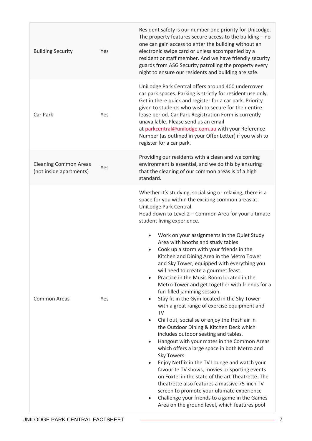| <b>Building Security</b>                                | Yes | Resident safety is our number one priority for UniLodge.<br>The property features secure access to the building $-$ no<br>one can gain access to enter the building without an<br>electronic swipe card or unless accompanied by a<br>resident or staff member. And we have friendly security<br>guards from ASG Security patrolling the property every<br>night to ensure our residents and building are safe.                                                                                                                                                                                                                                                                                                                                                                                                                                                                                                                                                                                                                                                                                                                                                                                                                                                                                                                                                                                                       |
|---------------------------------------------------------|-----|-----------------------------------------------------------------------------------------------------------------------------------------------------------------------------------------------------------------------------------------------------------------------------------------------------------------------------------------------------------------------------------------------------------------------------------------------------------------------------------------------------------------------------------------------------------------------------------------------------------------------------------------------------------------------------------------------------------------------------------------------------------------------------------------------------------------------------------------------------------------------------------------------------------------------------------------------------------------------------------------------------------------------------------------------------------------------------------------------------------------------------------------------------------------------------------------------------------------------------------------------------------------------------------------------------------------------------------------------------------------------------------------------------------------------|
| Car Park                                                | Yes | UniLodge Park Central offers around 400 undercover<br>car park spaces. Parking is strictly for resident use only.<br>Get in there quick and register for a car park. Priority<br>given to students who wish to secure for their entire<br>lease period. Car Park Registration Form is currently<br>unavailable. Please send us an email<br>at parkcentral@unilodge.com.au with your Reference<br>Number (as outlined in your Offer Letter) if you wish to<br>register for a car park.                                                                                                                                                                                                                                                                                                                                                                                                                                                                                                                                                                                                                                                                                                                                                                                                                                                                                                                                 |
| <b>Cleaning Common Areas</b><br>(not inside apartments) | Yes | Providing our residents with a clean and welcoming<br>environment is essential, and we do this by ensuring<br>that the cleaning of our common areas is of a high<br>standard.                                                                                                                                                                                                                                                                                                                                                                                                                                                                                                                                                                                                                                                                                                                                                                                                                                                                                                                                                                                                                                                                                                                                                                                                                                         |
| <b>Common Areas</b>                                     | Yes | Whether it's studying, socialising or relaxing, there is a<br>space for you within the exciting common areas at<br>UniLodge Park Central.<br>Head down to Level 2 - Common Area for your ultimate<br>student living experience.<br>Work on your assignments in the Quiet Study<br>Area with booths and study tables<br>Cook up a storm with your friends in the<br>$\bullet$<br>Kitchen and Dining Area in the Metro Tower<br>and Sky Tower, equipped with everything you<br>will need to create a gourmet feast.<br>Practice in the Music Room located in the<br>$\bullet$<br>Metro Tower and get together with friends for a<br>fun-filled jamming session.<br>Stay fit in the Gym located in the Sky Tower<br>with a great range of exercise equipment and<br><b>TV</b><br>Chill out, socialise or enjoy the fresh air in<br>the Outdoor Dining & Kitchen Deck which<br>includes outdoor seating and tables.<br>Hangout with your mates in the Common Areas<br>$\bullet$<br>which offers a large space in both Metro and<br><b>Sky Towers</b><br>Enjoy Netflix in the TV Lounge and watch your<br>favourite TV shows, movies or sporting events<br>on Foxtel in the state of the art Theatrette. The<br>theatrette also features a massive 75-inch TV<br>screen to promote your ultimate experience<br>Challenge your friends to a game in the Games<br>$\bullet$<br>Area on the ground level, which features pool |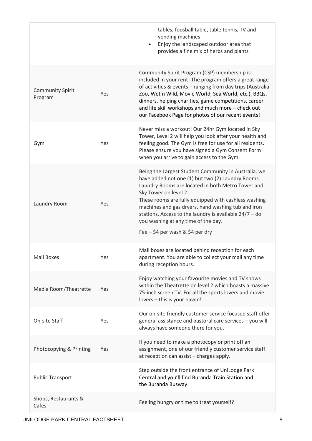tables, foosball table, table tennis, TV and vending machines • Enjoy the landscaped outdoor area that provides a fine mix of herbs and plants Community Spirit Program Yes Community Spirit Program (CSP) membership is included in your rent! The program offers a great range of activities & events – ranging from day trips (Australia Zoo, Wet n Wild, Movie World, Sea World, etc.), BBQs, dinners, helping charities, game competitions, career and life skill workshops and much more – check out our [Facebook Page](https://www.facebook.com/UniLodgeParkCentral/) for photos of our recent events! Gym Yes Never miss a workout! Our 24hr Gym located in Sky Tower, Level 2 will help you look after your health and feeling good. The Gym is free for use for all residents. Please ensure you have signed a Gym Consent Form when you arrive to gain access to the Gym. Laundry Room Yes Being the Largest Student Community in Australia, we have added not one (1) but two (2) Laundry Rooms. Laundry Rooms are located in both Metro Tower and Sky Tower on level 2. These rooms are fully equipped with cashless washing machines and gas dryers, hand washing tub and iron stations. Access to the laundry is available 24/7 – do you washing at any time of the day. Fee  $-$  \$4 per wash & \$4 per dry Mail Boxes Yes Mail boxes are located behind reception for each apartment. You are able to collect your mail any time during reception hours. Media Room/Theatrette Yes Enjoy watching your favourite movies and TV shows within the Theatrette on level 2 which boasts a massive 75-inch screen TV. For all the sports lovers and movie lovers – this is your haven! On-site Staff Yes Our on-site friendly customer service focused staff offer general assistance and pastoral care services – you will always have someone there for you. Photocopying & Printing Yes If you need to make a photocopy or print off an assignment, one of our friendly customer service staff at reception can assist – charges apply. Public Transport Step outside the front entrance of UniLodge Park Central and you'll find Buranda Train Station and the [Buranda Busway.](https://jp.translink.com.au/plan-your-journey/stops/buranda-busway-station) Shops, Restaurants & Example, increased and the Feeling hungry or time to treat yourself?<br>Cafes

UNILODGE PARK CENTRAL FACTSHEET  $\overline{3}$